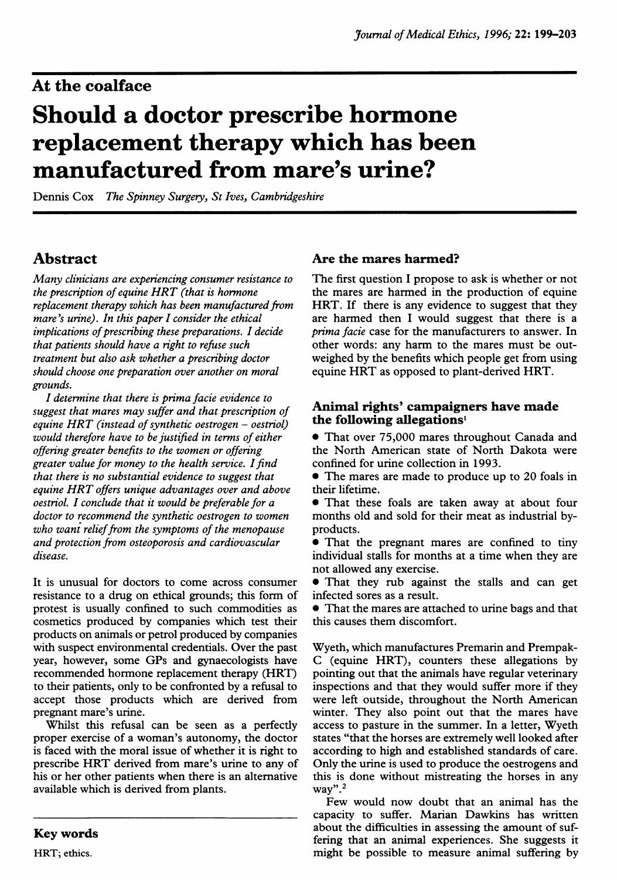## At the coalface

# Should a doctor prescribe hormone replacement therapy which has been manufactured from mare's urine?

Dennis Cox The Spinney Surgery, St Ives, Cambridgeshire

### Abstract

Many clinicians are experiencing consumer resistance to the prescription of equine HRT (that is hormone replacement therapy which has been manufactured from mare's urine). In this paper I consider the ethical implications of prescribing these preparations. I decide that patients should have a right to refuse such treatment but also ask whether a prescribing doctor should choose one preparation over another on moral grounds.

I determine that there is prima facie evidence to suggest that mares may suffer and that prescription of equine  $HRT$  (instead of synthetic oestrogen – oestriol) would therefore have to be justified in terms of either offering greater benefits to the women or offering greater value for money to the health service. Ifind that there is no substantial evidence to suggest that equine HRT offers unique advantages over and above oestriol. I conclude that it would be preferable for a doctor to recommend the synthetic oestrogen to women who want relief from the symptoms of the menopause and protection from osteoporosis and cardiovascular disease.

It is unusual for doctors to come across consumer resistance to a drug on ethical grounds; this form of protest is usually confined to such commodities as cosmetics produced by companies which test their products on animals or petrol produced by companies with suspect environmental credentials. Over the past year, however, some GPs and gynaecologists have recommended hormone replacement therapy (HRT) to their patients, only to be confronted by a refusal to accept those products which are derived from pregnant mare's urine.

Whilst this refusal can be seen as a perfectly proper exercise of a woman's autonomy, the doctor is faced with the moral issue of whether it is right to prescribe HRT derived from mare's urine to any of his or her other patients when there is an alternative available which is derived from plants.

#### Key words

HRT; ethics.

#### Are the mares harmed?

The first question <sup>I</sup> propose to ask is whether or not the mares are harmed in the production of equine HRT. If there is any evidence to suggest that they are harmed then <sup>I</sup> would suggest that there is a prima facie case for the manufacturers to answer. In other words: any harm to the mares must be outweighed by the benefits which people get from using equine HRT as opposed to plant-derived HRT.

#### Animal rights' campaigners have made the following allegations'

\* That over 75,000 mares throughout Canada and the North American state of North Dakota were confined for urine collection in 1993.

• The mares are made to produce up to 20 foals in their lifetime.

• That these foals are taken away at about four months old and sold for their meat as industrial byproducts.

• That the pregnant mares are confined to tiny individual stalls for months at a time when they are not allowed any exercise.

• That they rub against the stalls and can get infected sores as a result.

• That the mares are attached to urine bags and that this causes them discomfort.

Wyeth, which manufactures Premarin and Prempak-C (equine HRT), counters these allegations by pointing out that the animals have regular veterinary inspections and that they would suffer more if they were left outside, throughout the North American winter. They also point out that the mares have access to pasture in the summer. In a letter, Wyeth states "that the horses are extremely well looked after according to high and established standards of care. Only the urine is used to produce the oestrogens and this is done without mistreating the horses in any way".<sup>2</sup>

Few would now doubt that an animal has the capacity to suffer. Marian Dawkins has written about the difficulties in assessing the amount of suffering that an animal experiences. She suggests it might be possible to measure animal suffering by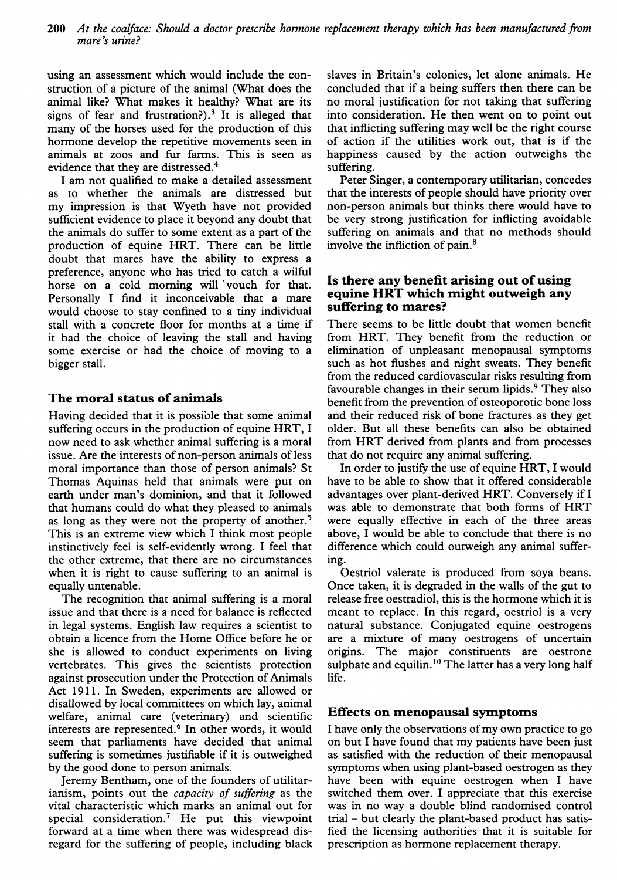using an assessment which would include the construction of a picture of the animal (What does the animal like? What makes it healthy? What are its signs of fear and frustration?).<sup>3</sup> It is alleged that many of the horses used for the production of this hormone develop the repetitive movements seen in animals at zoos and fur farms. This is seen as evidence that they are distressed.4

<sup>I</sup> am not qualified to make <sup>a</sup> detailed assessment as to whether the animals are distressed but my impression is that Wyeth have not provided sufficient evidence to place it beyond any doubt that the animals do suffer to some extent as a part of the production of equine HRT. There can be little doubt that mares have the ability to express a preference, anyone who has tried to catch <sup>a</sup> wilful horse on a cold morning will vouch for that. Personally <sup>I</sup> find it inconceivable that a mare would choose to stay confined to a tiny individual stall with a concrete floor for months at a time if it had the choice of leaving the stall and having some exercise or had the choice of moving to a bigger stall.

#### The moral status of animals

Having decided that it is possible that some animal suffering occurs in the production of equine HRT, <sup>I</sup> now need to ask whether animal suffering is <sup>a</sup> moral issue. Are the interests of non-person animals of less moral importance than those of person animals? St Thomas Aquinas held that animals were put on earth under man's dominion, and that it followed that humans could do what they pleased to animals as long as they were not the property of another.<sup>5</sup> This is an extreme view which <sup>I</sup> think most people instinctively feel is self-evidently wrong. <sup>I</sup> feel that the other extreme, that there are no circumstances when it is right to cause suffering to an animal is equally untenable.

The recognition that animal suffering is a moral issue and that there is a need for balance is reflected in legal systems. English law requires a scientist to obtain <sup>a</sup> licence from the Home Office before he or she is allowed to conduct experiments on living vertebrates. This gives the scientists protection against prosecution under the Protection of Animals Act 1911. In Sweden, experiments are allowed or disallowed by local committees on which lay, animal welfare, animal care (veterinary) and scientific interests are represented.<sup>6</sup> In other words, it would seem that parliaments have decided that animal suffering is sometimes justifiable if it is outweighed by the good done to person animals.

Jeremy Bentham, one of the founders of utilitarianism, points out the *capacity of suffering* as the vital characteristic which marks an animal out for special consideration.7 He put this viewpoint forward at a time when there was widespread disregard for the suffering of people, including black

slaves in Britain's colonies, let alone animals. He concluded that if a being suffers then there can be no moral justification for not taking that suffering into consideration. He then went on to point out that inflicting suffering may well be the right course of action if the utilities work out, that is if the happiness caused by the action outweighs the suffering.

Peter Singer, a contemporary utilitarian, concedes that the interests of people should have priority over non-person animals but thinks there would have to be very strong justification for inflicting avoidable suffering on animals and that no methods should involve the infliction of pain.8

#### Is there any benefit arising out of using equine HRT which might outweigh any suffering to mares?

There seems to be little doubt that women benefit from HRT. They benefit from the reduction or elimination of unpleasant menopausal symptoms such as hot flushes and night sweats. They benefit from the reduced cardiovascular risks resulting from favourable changes in their serum lipids.<sup>9</sup> They also benefit from the prevention of osteoporotic bone loss and their reduced risk of bone fractures as they get older. But all these benefits can also be obtained from HRT derived from plants and from processes that do not require any animal suffering.

In order to justify the use of equine HRT, <sup>I</sup> would have to be able to show that it offered considerable advantages over plant-derived HRT. Conversely if <sup>I</sup> was able to demonstrate that both forms of HRT were equally effective in each of the three areas above, <sup>I</sup> would be able to conclude that there is no difference which could outweigh any animal suffering.

Oestriol valerate is produced from soya beans. Once taken, it is degraded in the walls of the gut to release free oestradiol, this is the hormone which it is meant to replace. In this regard, oestriol is a very natural substance. Conjugated equine oestrogens are a mixture of many oestrogens of uncertain origins. The major constituents are oestrone sulphate and equilin.<sup>10</sup> The latter has a very long half life.

#### Effects on menopausal symptoms

<sup>I</sup> have only the observations of my own practice to go on but <sup>I</sup> have found that my patients have been just as satisfied with the reduction of their menopausal symptoms when using plant-based oestrogen as they have been with equine oestrogen when <sup>I</sup> have switched them over. <sup>I</sup> appreciate that this exercise was in no way a double blind randomised control trial - but clearly the plant-based product has satisfied the licensing authorities that it is suitable for prescription as hormone replacement therapy.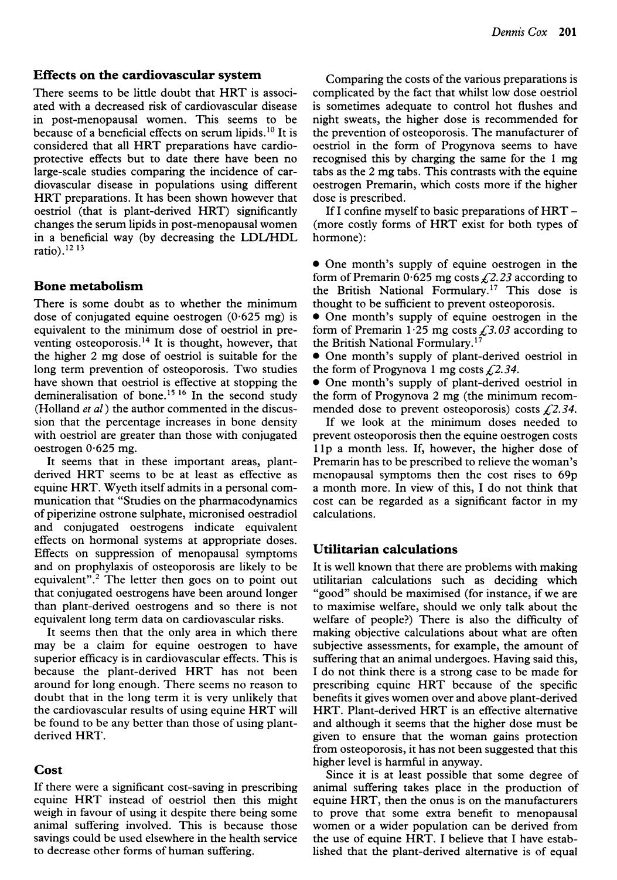#### Effects on the cardiovascular system

There seems to be little doubt that HRT is associated with a decreased risk of cardiovascular disease in post-menopausal women. This seems to be because of a beneficial effects on serum lipids.<sup>10</sup> It is considered that all HRT preparations have cardioprotective effects but to date there have been no large-scale studies comparing the incidence of cardiovascular disease in populations using different HRT preparations. It has been shown however that oestriol (that is plant-derived HRT) significantly changes the serum lipids in post-menopausal women in a beneficial way (by decreasing the LDL/HDL ratio).  $12 \tcdot 13$ 

#### Bone metabolism

There is some doubt as to whether the minimum dose of conjugated equine oestrogen  $(0.625 \text{ mg})$  is equivalent to the minimum dose of oestriol in preventing osteoporosis.<sup>14</sup> It is thought, however, that the higher <sup>2</sup> mg dose of oestriol is suitable for the long term prevention of osteoporosis. Two studies have shown that oestriol is effective at stopping the demineralisation of bone.<sup>15 16</sup> In the second study (Holland  $et$   $al$ ) the author commented in the discussion that the percentage increases in bone density with oestriol are greater than those with conjugated oestrogen  $0.625$  mg.

It seems that in these important areas, plantderived HRT seems to be at least as effective as equine HRT. Wyeth itself admits in <sup>a</sup> personal communication that "Studies on the pharmacodynamics of piperizine ostrone sulphate, micronised oestradiol and conjugated oestrogens indicate equivalent effects on hormonal systems at appropriate doses. Effects on suppression of menopausal symptoms and on prophylaxis of osteoporosis are likely to be equivalent".<sup>2</sup> The letter then goes on to point out that conjugated oestrogens have been around longer than plant-derived oestrogens and so there is not equivalent long term data on cardiovascular risks.

It seems then that the only area in which there may be <sup>a</sup> claim for equine oestrogen to have superior efficacy is in cardiovascular effects. This is because the plant-derived HRT has not been around for long enough. There seems no reason to doubt that in the long term it is very unlikely that the cardiovascular results of using equine HRT will be found to be any better than those of using plantderived HRT.

#### **Cost**

If there were a significant cost-saving in prescribing equine HRT instead of oestriol then this might weigh in favour of using it despite there being some animal suffering involved. This is because those savings could be used elsewhere in the health service to decrease other forms of human suffering.

Comparing the costs of the various preparations is complicated by the fact that whilst low dose oestriol is sometimes adequate to control hot flushes and night sweats, the higher dose is recommended for the prevention of osteoporosis. The manufacturer of oestriol in the form of Progynova seems to have recognised this by charging the same for the <sup>1</sup> mg tabs as the <sup>2</sup> mg tabs. This contrasts with the equine oestrogen Premarin, which costs more if the higher dose is prescribed.

If I confine myself to basic preparations of  $HRT -$ (more costly forms of HRT exist for both types of hormone):

• One month's supply of equine oestrogen in the form of Premarin 0.625 mg costs  $\mathcal{L}2.23$  according to the British National Formulary.<sup>17</sup> This dose is thought to be sufficient to prevent osteoporosis.

• One month's supply of equine oestrogen in the form of Premarin 1.25 mg costs  $\angle 3.03$  according to the British National Formulary.<sup>17</sup>

• One month's supply of plant-derived oestriol in the form of Progynova 1 mg costs  $\mathcal{L}2.34$ .

• One month's supply of plant-derived oestriol in the form of Progynova <sup>2</sup> mg (the minimum recommended dose to prevent osteoporosis) costs  $\mathcal{L}2.34$ .

If we look at the minimum doses needed to prevent osteoporosis then the equine oestrogen costs <sup>I</sup> lp a month less. If, however, the higher dose of Premarin has to be prescribed to relieve the woman's menopausal symptoms then the cost rises to 69p a month more. In view of this, <sup>I</sup> do not think that cost can be regarded as <sup>a</sup> significant factor in my calculations.

#### Utilitarian calculations

It is well known that there are problems with making utilitarian calculations such as deciding which "good" should be maximised (for instance, if we are to maximise welfare, should we only talk about the welfare of people?) There is also the difficulty of making objective calculations about what are often subjective assessments, for example, the amount of suffering that an animal undergoes. Having said this, <sup>I</sup> do not think there is a strong case to be made for prescribing equine HRT because of the specific benefits it gives women over and above plant-derived HRT. Plant-derived HRT is an effective alternative and although it seems that the higher dose must be given to ensure that the woman gains protection from osteoporosis, it has not been suggested that this higher level is harmful in anyway.

Since it is at least possible that some degree of animal suffering takes place in the production of equine HRT, then the onus is on the manufacturers to prove that some extra benefit to menopausal women or <sup>a</sup> wider population can be derived from the use of equine HRT. <sup>I</sup> believe that <sup>I</sup> have established that the plant-derived alternative is of equal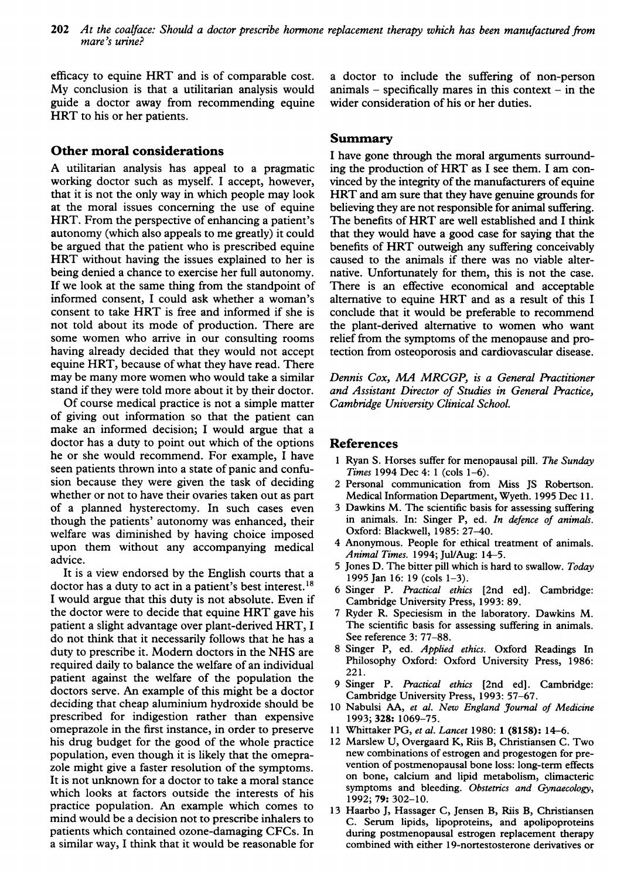efficacy to equine HRT and is of comparable cost. My conclusion is that <sup>a</sup> utilitarian analysis would guide a doctor away from recommending equine HRT to his or her patients.

#### Other moral considerations

A utilitarian analysis has appeal to <sup>a</sup> pragmatic working doctor such as myself. <sup>I</sup> accept, however, that it is not the only way in which people may look at the moral issues concerning the use of equine HRT. From the perspective of enhancing <sup>a</sup> patient's autonomy (which also appeals to me greatly) it could be argued that the patient who is prescribed equine HRT without having the issues explained to her is being denied a chance to exercise her full autonomy. If we look at the same thing from the standpoint of informed consent, <sup>I</sup> could ask whether a woman's consent to take HRT is free and informed if she is not told about its mode of production. There are some women who arrive in our consulting rooms having already decided that they would not accept equine HRT, because of what they have read. There may be many more women who would take <sup>a</sup> similar stand if they were told more about it by their doctor.

Of course medical practice is not a simple matter of giving out information so that the patient can make an informed decision; <sup>I</sup> would argue that a doctor has a duty to point out which of the options he or she would recommend. For example, <sup>I</sup> have seen patients thrown into a state of panic and confusion because they were given the task of deciding whether or not to have their ovaries taken out as part of a planned hysterectomy. In such cases even though the patients' autonomy was enhanced, their welfare was diminished by having choice imposed upon them without any accompanying medical advice.

It is a view endorsed by the English courts that a doctor has a duty to act in a patient's best interest.<sup>18</sup> <sup>I</sup> would argue that this duty is not absolute. Even if the doctor were to decide that equine HRT gave his patient <sup>a</sup> slight advantage over plant-derived HRT, <sup>I</sup> do not think that it necessarily follows that he has a duty to prescribe it. Modern doctors in the NHS are required daily to balance the welfare of an individual patient against the welfare of the population the doctors serve. An example of this might be <sup>a</sup> doctor deciding that cheap aluminium hydroxide should be prescribed for indigestion rather than expensive omeprazole in the first instance, in order to preserve his drug budget for the good of the whole practice population, even though it is likely that the omeprazole might give a faster resolution of the symptoms. It is not unknown for a doctor to take a moral stance which looks at factors outside the interests of his practice population. An example which comes to mind would be a decision not to prescribe inhalers to patients which contained ozone-damaging CFCs. In a similar way, <sup>I</sup> think that it would be reasonable for

a doctor to include the suffering of non-person animals  $-$  specifically mares in this context  $-$  in the wider consideration of his or her duties.

#### Summary

<sup>I</sup> have gone through the moral arguments surrounding the production of HRT as <sup>I</sup> see them. <sup>I</sup> am convinced by the integrity of the manufacturers of equine HRT and am sure that they have genuine grounds for believing they are not responsible for animal suffering. The benefits of HRT are well established and <sup>I</sup> think that they would have a good case for saying that the benefits of HRT outweigh any suffering conceivably caused to the animals if there was no viable alternative. Unfortunately for them, this is not the case. There is an effective economical and acceptable alternative to equine HRT and as <sup>a</sup> result of this <sup>I</sup> conclude that it would be preferable to recommend the plant-derived alternative to women who want relief from the symptoms of the menopause and protection from osteoporosis and cardiovascular disease.

Dennis Cox, AIA MRCGP, is a General Practitioner and Assistant Director of Studies in General Practice, Cambridge University Clinical School.

#### References

- <sup>1</sup> Ryan S. Horses suffer for menopausal pill. The Sunday Times 1994 Dec 4: <sup>1</sup> (cols 1-6).
- 2 Personal communication from Miss JS Robertson. Medical Information Department, Wyeth. 1995 Dec 11.
- 3 Dawkins M. The scientific basis for assessing suffering in animals. In: Singer P, ed. In defence of animals. Oxford: Blackwell, 1985: 27-40.
- 4 Anonymous. People for ethical treatment of animals. Animal Times. 1994; Jul/Aug: 14-5.
- 5 Jones D. The bitter pill which is hard to swallow. Today 1995 Jan 16: 19 (cols 1-3).
- 6 Singer P. Practical ethics [2nd ed]. Cambridge: Cambridge University Press, 1993: 89.
- 7 Ryder R. Speciesism in the laboratory. Dawkins M. The scientific basis for assessing suffering in animals. See reference 3: 77-88.
- 8 Singer P, ed. Applied ethics. Oxford Readings In Philosophy Oxford: Oxford University Press, 1986: 221.
- 9 Singer P. Practical ethics [2nd ed]. Cambridge: Cambridge University Press, 1993: 57-67.
- 10 Nabulsi AA, et al. New England Journal of Medicine 1993; 328: 1069-75.
- 11 Whittaker PG, et al. Lancet 1980: <sup>1</sup> (8158): 14-6.
- <sup>12</sup> Marslew U, Overgaard K, Riis B, Christiansen C. Two new combinations of estrogen and progestogen for prevention of postmenopausal bone loss: long-term effects on bone, calcium and lipid metabolism, climacteric symptoms and bleeding. Obstetrics and Gynaecology, 1992; 79: 302-10.
- 13 Haarbo J, Hassager C, Jensen B, Riis B, Christiansen C. Serum lipids, lipoproteins, and apolipoproteins during postmenopausal estrogen replacement therapy combined with either 19-nortestosterone derivatives or